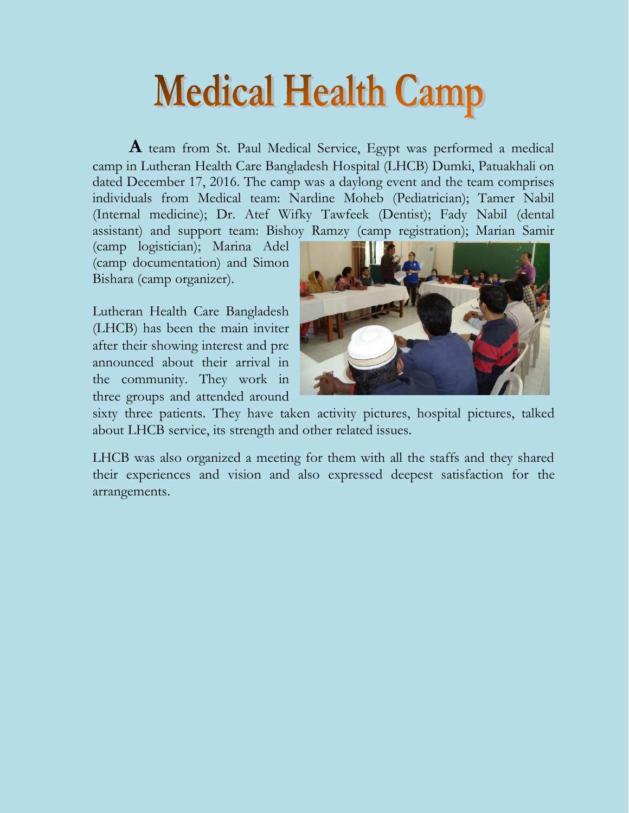## **Medical Health Camp**

**A** team from St. Paul Medical Service, Egypt was performed a medical camp in Lutheran Health Care Bangladesh Hospital (LHCB) Dumki, Patuakhali on dated December 17, 2016. The camp was a daylong event and the team comprises individuals from Medical team: Nardine Moheb (Pediatrician); Tamer Nabil (Internal medicine); Dr. Atef Wifky Tawfeek (Dentist); Fady Nabil (dental assistant) and support team: Bishoy Ramzy (camp registration); Marian Samir

(camp logistician); Marina Adel (camp documentation) and Simon Bishara (camp organizer).

Lutheran Health Care Bangladesh (LHCB) has been the main inviter after their showing interest and pre announced about their arrival in the community. They work in three groups and attended around



sixty three patients. They have taken activity pictures, hospital pictures, talked about LHCB service, its strength and other related issues.

LHCB was also organized a meeting for them with all the staffs and they shared their experiences and vision and also expressed deepest satisfaction for the arrangements.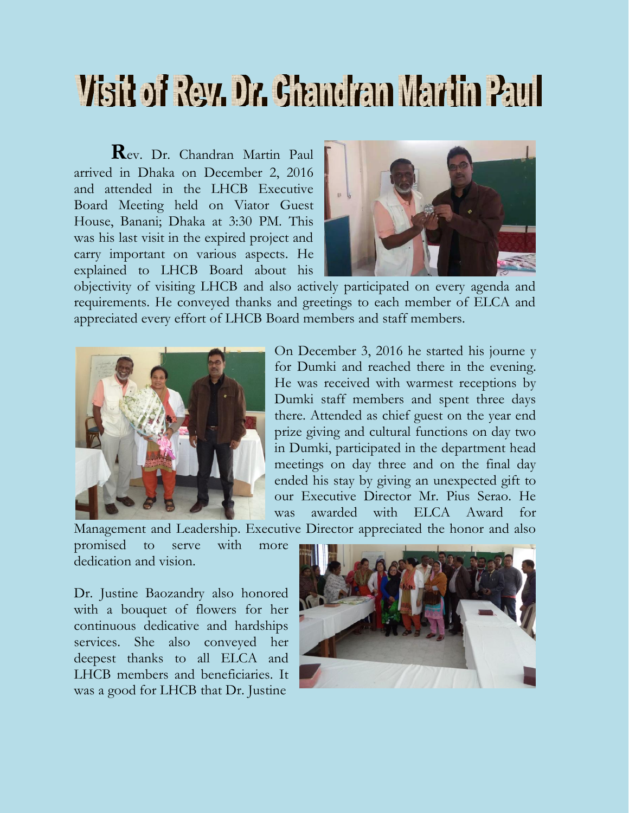## Visit of Rev. Dr. Ghandran Martin Paul

**R**ev. Dr. Chandran Martin Paul arrived in Dhaka on December 2, 2016 and attended in the LHCB Executive Board Meeting held on Viator Guest House, Banani; Dhaka at 3:30 PM. This was his last visit in the expired project and carry important on various aspects. He explained to LHCB Board about his



objectivity of visiting LHCB and also actively participated on every agenda and requirements. He conveyed thanks and greetings to each member of ELCA and appreciated every effort of LHCB Board members and staff members.



On December 3, 2016 he started his journe y for Dumki and reached there in the evening. He was received with warmest receptions by Dumki staff members and spent three days there. Attended as chief guest on the year end prize giving and cultural functions on day two in Dumki, participated in the department head meetings on day three and on the final day ended his stay by giving an unexpected gift to our Executive Director Mr. Pius Serao. He was awarded with ELCA Award for

Management and Leadership. Executive Director appreciated the honor and also

promised to serve with more dedication and vision.

Dr. Justine Baozandry also honored with a bouquet of flowers for her continuous dedicative and hardships services. She also conveyed her deepest thanks to all ELCA and LHCB members and beneficiaries. It was a good for LHCB that Dr. Justine